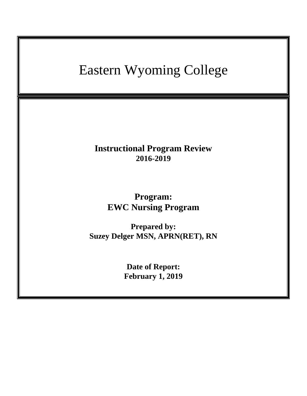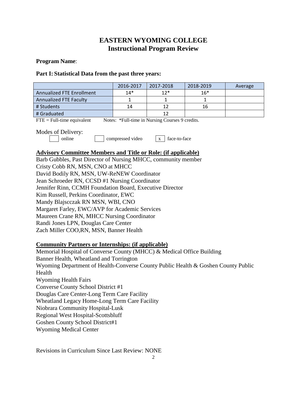# **EASTERN WYOMING COLLEGE Instructional Program Review**

#### **Program Name**:

#### **Part I: Statistical Data from the past three years:**

|                                                                                                                                                          | 2016-2017 | 2017-2018 | 2018-2019 | Average |  |  |  |  |
|----------------------------------------------------------------------------------------------------------------------------------------------------------|-----------|-----------|-----------|---------|--|--|--|--|
| <b>Annualized FTE Enrollment</b>                                                                                                                         | $14*$     | $12*$     | $16*$     |         |  |  |  |  |
| <b>Annualized FTE Faculty</b>                                                                                                                            | 1         | 1         | 1         |         |  |  |  |  |
| # Students                                                                                                                                               | 14        | 12        | 16        |         |  |  |  |  |
| # Graduated                                                                                                                                              |           | 12        |           |         |  |  |  |  |
| Notes: *Full-time in Nursing Courses 9 credits.<br>$FTE = Full-time equivalent$                                                                          |           |           |           |         |  |  |  |  |
| Modes of Delivery:<br>compressed video<br>face-to-face<br>online<br>$\mathbf{X}$<br><b>Advisory Committee Members and Title or Role: (if applicable)</b> |           |           |           |         |  |  |  |  |
| Barb Gubbles, Past Director of Nursing MHCC, community member                                                                                            |           |           |           |         |  |  |  |  |
| Cristy Cobb RN, MSN, CNO at MHCC                                                                                                                         |           |           |           |         |  |  |  |  |
| David Bodily RN, MSN, UW-ReNEW Coordinator                                                                                                               |           |           |           |         |  |  |  |  |
| Jean Schroeder RN, CCSD #1 Nursing Coordinator                                                                                                           |           |           |           |         |  |  |  |  |
| Jennifer Rinn, CCMH Foundation Board, Executive Director                                                                                                 |           |           |           |         |  |  |  |  |
| Kim Russell, Perkins Coordinator, EWC                                                                                                                    |           |           |           |         |  |  |  |  |
| Mandy Blajscczak RN MSN, WBI, CNO                                                                                                                        |           |           |           |         |  |  |  |  |
| Margaret Farley, EWC/AVP for Academic Services                                                                                                           |           |           |           |         |  |  |  |  |
| Maureen Crane RN, MHCC Nursing Coordinator                                                                                                               |           |           |           |         |  |  |  |  |
| Randi Jones LPN, Douglas Care Center                                                                                                                     |           |           |           |         |  |  |  |  |

Zach Miller COO,RN, MSN, Banner Health

#### **Community Partners or Internships: (if applicable)**

Memorial Hospital of Converse County (MHCC) & Medical Office Building Banner Health, Wheatland and Torrington Wyoming Department of Health-Converse County Public Health & Goshen County Public Health Wyoming Health Fairs Converse County School District #1 Douglas Care Center-Long Term Care Facility Wheatland Legacy Home-Long Term Care Facility Niobrara Community Hospital-Lusk Regional West Hospital-Scottsbluff Goshen County School District#1 Wyoming Medical Center

Revisions in Curriculum Since Last Review: NONE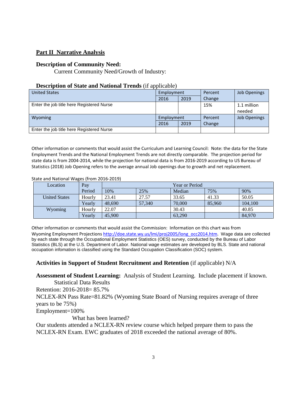## **Part II Narrative Analysis**

#### **Description of Community Need:**

Current Community Need/Growth of Industry:

#### **Description of State and National Trends** (if applicable)

| <b>United States</b>                      | Employment |      | Percent | Job Openings        |
|-------------------------------------------|------------|------|---------|---------------------|
|                                           | 2016       | 2019 | Change  |                     |
| Enter the job title here Registered Nurse |            |      | 15%     | 1.1 million         |
|                                           |            |      |         | needed              |
| <b>Wyoming</b>                            | Employment |      | Percent | <b>Job Openings</b> |
|                                           | 2016       | 2019 | Change  |                     |
| Enter the job title here Registered Nurse |            |      |         |                     |

Other information or comments that would assist the Curriculum and Learning Council: Note: the data for the State Employment Trends and the National Employment Trends are not directly comparable. The projection period for state data is from 2004-2014, while the projection for national data is from 2016-2019 according to US Bureau of Statistics (2018) Job Opening refers to the average annual Job openings due to growth and net replacement.

| Location             | Pay    | Year or Period |        |        |        |         |  |
|----------------------|--------|----------------|--------|--------|--------|---------|--|
|                      | Period | 10%            | 25%    | Median | 75%    | 90%     |  |
| <b>United States</b> | Hourly | 23.41          | 27.57  | 33.65  | 41.33  | 50.05   |  |
|                      | Yearly | 48.690         | 57,340 | 70,000 | 85,960 | 104,100 |  |
| Wyoming              | Hourly | 22.07          |        | 30.43  |        | 40.85   |  |
|                      | Yearly | 45,900         |        | 63,290 |        | 84,970  |  |

State and National Wages (from 2016-2019)

Other information or comments that would assist the Commission: Information on this chart was from Wyoming Employment Projections [http://doe.state.wy.us/lmi/proj2005/long\\_occ2014.htm.](http://doe.state.wy.us/lmi/proj2005/long_occ2014.htm) Wage data are collected by each state through the Occupational Employment Statistics (OES) survey, conducted by the Bureau of Labor Statistics (BLS) at the U.S. Department of Labor. National wage estimates are developed by BLS. State and national occupation infomation is classified using the Standard Occupation Classification (SOC) system.

## **Activities in Support of Student Recruitment and Retention** (if applicable) N/A

**Assessment of Student Learning:** Analysis of Student Learning. Include placement if known.

Statistical Data Results Retention: 2016-2018= 85.7% NCLEX-RN Pass Rate=81.82% (Wyoming State Board of Nursing requires average of three years to be 75%) Employment=100% What has been learned?

Our students attended a NCLEX-RN review course which helped prepare them to pass the NCLEX-RN Exam. EWC graduates of 2018 exceeded the national average of 80%.